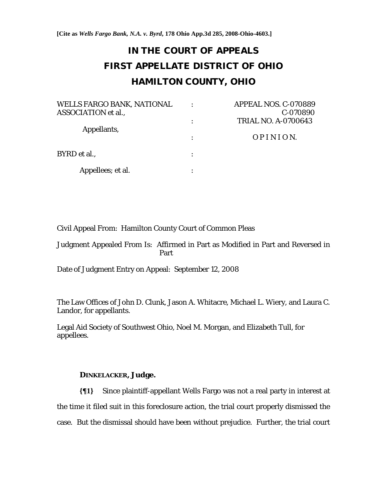**[Cite as** *Wells Fargo Bank, N.A. v. Byrd***, 178 Ohio App.3d 285, 2008-Ohio-4603.]**

# **IN THE COURT OF APPEALS FIRST APPELLATE DISTRICT OF OHIO HAMILTON COUNTY, OHIO**

| <b>WELLS FARGO BANK, NATIONAL</b> | ٠ | APPEAL NOS. C-070889       |
|-----------------------------------|---|----------------------------|
| <b>ASSOCIATION</b> et al.,        |   | C-070890                   |
| Appellants,                       |   | <b>TRIAL NO. A-0700643</b> |
|                                   |   | <i>OPINION.</i>            |
| BYRD et al.,                      |   |                            |
| Appellees; et al.                 |   |                            |

Civil Appeal From: Hamilton County Court of Common Pleas

Judgment Appealed From Is: Affirmed in Part as Modified in Part and Reversed in Part

Date of Judgment Entry on Appeal: September 12, 2008

The Law Offices of John D. Clunk, Jason A. Whitacre, Michael L. Wiery, and Laura C. Landor, for appellants.

Legal Aid Society of Southwest Ohio, Noel M. Morgan, and Elizabeth Tull, for appellees.

# **DINKELACKER, Judge.**

**{¶1}** Since plaintiff-appellant Wells Fargo was not a real party in interest at the time it filed suit in this foreclosure action, the trial court properly dismissed the case. But the dismissal should have been without prejudice. Further, the trial court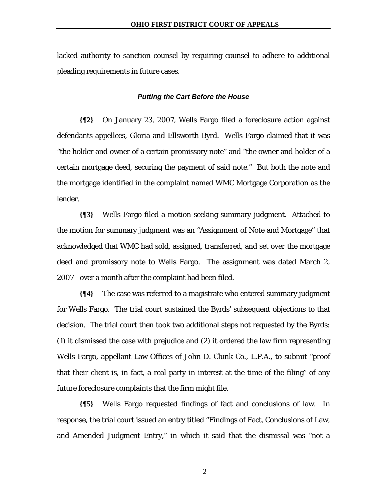lacked authority to sanction counsel by requiring counsel to adhere to additional pleading requirements in future cases.

#### *Putting the Cart Before the House*

**{¶2}** On January 23, 2007, Wells Fargo filed a foreclosure action against defendants-appellees, Gloria and Ellsworth Byrd. Wells Fargo claimed that it was "the holder and owner of a certain promissory note" and "the owner and holder of a certain mortgage deed, securing the payment of said note." But both the note and the mortgage identified in the complaint named WMC Mortgage Corporation as the lender.

**{¶3}** Wells Fargo filed a motion seeking summary judgment. Attached to the motion for summary judgment was an "Assignment of Note and Mortgage" that acknowledged that WMC had sold, assigned, transferred, and set over the mortgage deed and promissory note to Wells Fargo. The assignment was dated March 2, 2007—over a month after the complaint had been filed.

**{¶4}** The case was referred to a magistrate who entered summary judgment for Wells Fargo. The trial court sustained the Byrds' subsequent objections to that decision. The trial court then took two additional steps not requested by the Byrds: (1) it dismissed the case with prejudice and (2) it ordered the law firm representing Wells Fargo, appellant Law Offices of John D. Clunk Co., L.P.A., to submit "proof that their client is, in fact, a real party in interest at the time of the filing" of any future foreclosure complaints that the firm might file.

**{¶5}** Wells Fargo requested findings of fact and conclusions of law. In response, the trial court issued an entry titled "Findings of Fact, Conclusions of Law, and Amended Judgment Entry," in which it said that the dismissal was "not a

2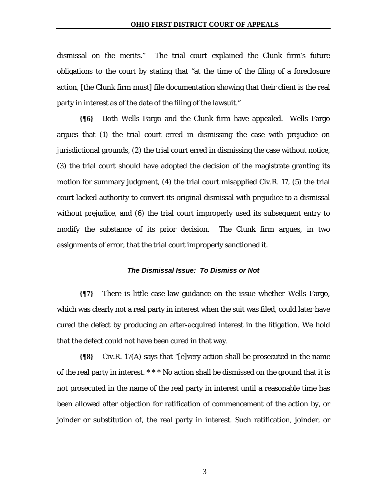dismissal on the merits." The trial court explained the Clunk firm's future obligations to the court by stating that "at the time of the filing of a foreclosure action, [the Clunk firm must] file documentation showing that their client is the real party in interest as of the date of the filing of the lawsuit."

**{¶6}** Both Wells Fargo and the Clunk firm have appealed. Wells Fargo argues that (1) the trial court erred in dismissing the case with prejudice on jurisdictional grounds, (2) the trial court erred in dismissing the case without notice, (3) the trial court should have adopted the decision of the magistrate granting its motion for summary judgment, (4) the trial court misapplied Civ.R. 17, (5) the trial court lacked authority to convert its original dismissal with prejudice to a dismissal without prejudice, and (6) the trial court improperly used its subsequent entry to modify the substance of its prior decision. The Clunk firm argues, in two assignments of error, that the trial court improperly sanctioned it.

### *The Dismissal Issue: To Dismiss or Not*

**{¶7}** There is little case-law guidance on the issue whether Wells Fargo, which was clearly not a real party in interest when the suit was filed, could later have cured the defect by producing an after-acquired interest in the litigation. We hold that the defect could not have been cured in that way.

**{¶8}** Civ.R. 17(A) says that "[e]very action shall be prosecuted in the name of the real party in interest. \* \* \* No action shall be dismissed on the ground that it is not prosecuted in the name of the real party in interest until a reasonable time has been allowed after objection for ratification of commencement of the action by, or joinder or substitution of, the real party in interest. Such ratification, joinder, or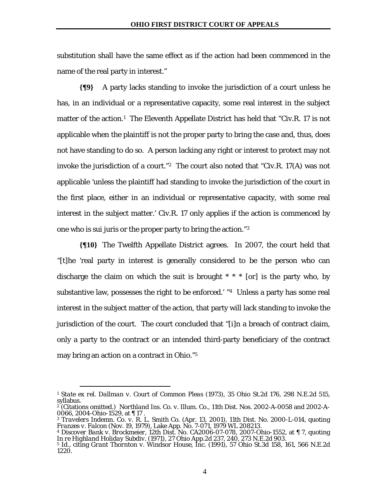substitution shall have the same effect as if the action had been commenced in the name of the real party in interest."

**{¶9}** A party lacks standing to invoke the jurisdiction of a court unless he has, in an individual or a representative capacity, some real interest in the subject matter of the action.<sup>1</sup> The Eleventh Appellate District has held that "Civ.R. 17 is not applicable when the plaintiff is not the proper party to bring the case and, thus, does not have standing to do so. A person lacking any right or interest to protect may not invoke the jurisdiction of a court."2 The court also noted that "Civ.R. 17(A) was not applicable 'unless the plaintiff had standing to invoke the jurisdiction of the court in the first place, either in an individual or representative capacity, with some real interest in the subject matter.' Civ.R. 17 only applies if the action is commenced by one who is sui juris or the proper party to bring the action."3

**{¶10}** The Twelfth Appellate District agrees. In 2007, the court held that "[t]he 'real party in interest is generally considered to be the person who can discharge the claim on which the suit is brought  $* * *$  [or] is the party who, by substantive law, possesses the right to be enforced.' "4 Unless a party has some real interest in the subject matter of the action, that party will lack standing to invoke the jurisdiction of the court. The court concluded that "[i]n a breach of contract claim, only a party to the contract or an intended third-party beneficiary of the contract may bring an action on a contract in Ohio."5

1

<sup>1</sup> *State ex rel. Dallman v. Court of Common Pleas* (1973), 35 Ohio St.2d 176, 298 N.E.2d 515, syllabus.

<sup>2 (</sup>Citations omitted.) *Northland Ins. Co. v. Illum. Co.*, 11th Dist. Nos. 2002-A-0058 and 2002-A-0066, 2004-Ohio-1529, at ¶ 17 .

<sup>3</sup> *Travelers Indemn. Co. v. R. L. Smith Co.* (Apr. 13, 2001), 11th Dist. No. 2000-L-014, quoting *Franzes v. Falcon* (Nov. 19, 1979), Lake App. No. 7-071, 1979 WL 208213.

<sup>4</sup> *Discover Bank v. Brockmeier*, 12th Dist. No. CA2006-07-078, 2007-Ohio-1552, at ¶ 7, quoting *In re Highland Holiday Subdiv.* (1971), 27 Ohio App.2d 237, 240, 273 N.E.2d 903.

<sup>5</sup> Id., citing *Grant Thornton v. Windsor House, Inc.* (1991), 57 Ohio St.3d 158, 161, 566 N.E.2d 1220.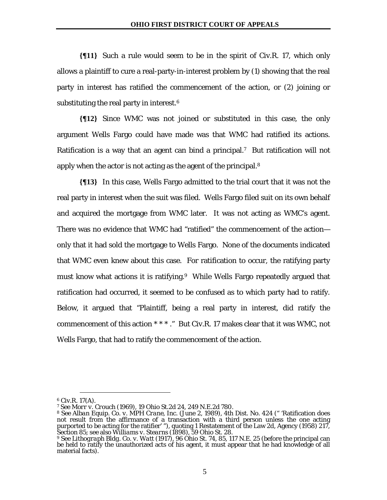**{¶11}** Such a rule would seem to be in the spirit of Civ.R. 17, which only allows a plaintiff to cure a real-party-in-interest problem by (1) showing that the real party in interest has ratified the commencement of the action, or (2) joining or substituting the real party in interest.6

**{¶12}** Since WMC was not joined or substituted in this case, the only argument Wells Fargo could have made was that WMC had ratified its actions. Ratification is a way that an agent can bind a principal.<sup>7</sup> But ratification will not apply when the actor is not acting as the agent of the principal.<sup>8</sup>

**{¶13}** In this case, Wells Fargo admitted to the trial court that it was not the real party in interest when the suit was filed. Wells Fargo filed suit on its own behalf and acquired the mortgage from WMC later. It was not acting as WMC's agent. There was no evidence that WMC had "ratified" the commencement of the action only that it had sold the mortgage to Wells Fargo. None of the documents indicated that WMC even knew about this case. For ratification to occur, the ratifying party must know what actions it is ratifying.<sup>9</sup> While Wells Fargo repeatedly argued that ratification had occurred, it seemed to be confused as to which party had to ratify. Below, it argued that "Plaintiff, being a real party in interest, did ratify the commencement of this action \* \* \* ." But Civ.R. 17 makes clear that it was WMC, not Wells Fargo, that had to ratify the commencement of the action.

<sup>&</sup>lt;u>.</u> 6 Civ.R. 17(A).

<sup>7</sup> See *Morr v. Crouch* (1969), 19 Ohio St.2d 24, 249 N.E.2d 780.

<sup>8</sup> See *Alban Equip. Co. v. MPH Crane, Inc.* (June 2, 1989), 4th Dist. No. 424 (" 'Ratification does not result from the affirmance of a transaction with a third person unless the one acting<br>purported to be acting for the ratifier' "), quoting 1 Restatement of the Law 2d, Agency (1958) 217, Section 85; see also *Williams v. Stearns* (1898), 59 Ohio St. 28.

<sup>9</sup> See *Lithograph Bldg. Co. v. Watt* (1917), 96 Ohio St. 74, 85, 117 N.E. 25 (before the principal can be held to ratify the unauthorized acts of his agent, it must appear that he had knowledge of all material facts).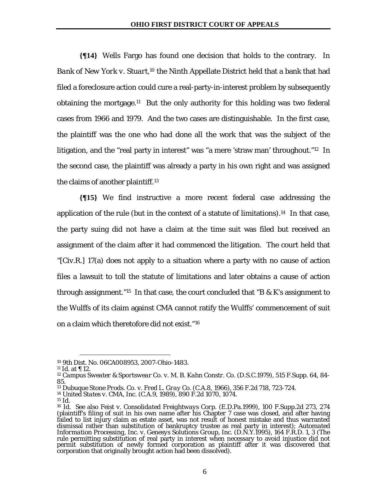**{¶14}** Wells Fargo has found one decision that holds to the contrary. In *Bank of New York v. Stuart*,10 the Ninth Appellate District held that a bank that had filed a foreclosure action could cure a real-party-in-interest problem by subsequently obtaining the mortgage.<sup>11</sup> But the only authority for this holding was two federal cases from 1966 and 1979. And the two cases are distinguishable. In the first case, the plaintiff was the one who had done all the work that was the subject of the litigation, and the "real party in interest" was "a mere 'straw man' throughout."12 In the second case, the plaintiff was already a party in his own right and was assigned the claims of another plaintiff.13

**{¶15}** We find instructive a more recent federal case addressing the application of the rule (but in the context of a statute of limitations).<sup>14</sup> In that case, the party suing did not have a claim at the time suit was filed but received an assignment of the claim after it had commenced the litigation. The court held that "[Civ.R.] 17(a) does not apply to a situation where a party with no cause of action files a lawsuit to toll the statute of limitations and later obtains a cause of action through assignment."15 In that case, the court concluded that "B & K's assignment to the Wulffs of its claim against CMA cannot ratify the Wulffs' commencement of suit on a claim which theretofore did not exist."16

<u>.</u>

<sup>14</sup> *United States v. CMA, Inc.* (C.A.9, 1989), 890 F.2d 1070, 1074.

<sup>10 9</sup>th Dist. No. 06CA008953, 2007-Ohio-1483.

<sup>11</sup> Id. at ¶ 12.

<sup>12</sup> *Campus Sweater & Sportswear Co. v. M. B. Kahn Constr. Co.* (D.S.C.1979), 515 F.Supp. 64, 84- 85.

<sup>13</sup> *Dubuque Stone Prods. Co. v. Fred L. Gray Co.* (C.A.8, 1966), 356 F.2d 718, 723-724.

<sup>15</sup> Id.

<sup>16</sup> Id. See also *Feist v. Consolidated Freightways Corp.* (E.D.Pa.1999), 100 F.Supp.2d 273, 274 (plaintiff's filing of suit in his own name after his Chapter 7 case was closed, and after having failed to list injury claim as estate asset, was not result of honest mistake and thus warranted dismissal rather than substitution of bankruptcy trustee as real party in interest); *Automated Information Processing, Inc. v. Genesys Solutions Group, Inc*. (D.N.Y.1995), 164 F.R.D. 1, 3 (The rule permitting substitution of real party in interest when necessary to avoid injustice did not permit substitution of newly formed corporation as plaintiff after it was discovered that corporation that originally brought action had been dissolved).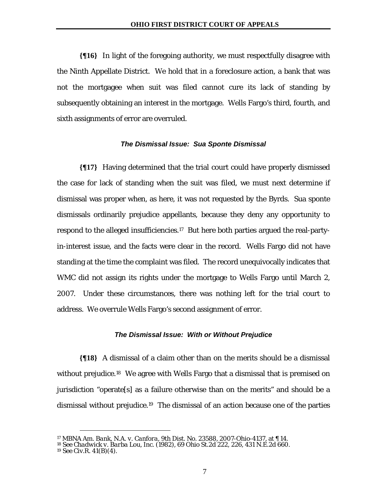**{¶16}** In light of the foregoing authority, we must respectfully disagree with the Ninth Appellate District. We hold that in a foreclosure action, a bank that was not the mortgagee when suit was filed cannot cure its lack of standing by subsequently obtaining an interest in the mortgage. Wells Fargo's third, fourth, and sixth assignments of error are overruled.

### *The Dismissal Issue: Sua Sponte Dismissal*

**{¶17}** Having determined that the trial court could have properly dismissed the case for lack of standing when the suit was filed, we must next determine if dismissal was proper when, as here, it was not requested by the Byrds. Sua sponte dismissals ordinarily prejudice appellants, because they deny any opportunity to respond to the alleged insufficiencies.<sup>17</sup> But here both parties argued the real-partyin-interest issue, and the facts were clear in the record. Wells Fargo did not have standing at the time the complaint was filed. The record unequivocally indicates that WMC did not assign its rights under the mortgage to Wells Fargo until March 2, 2007. Under these circumstances, there was nothing left for the trial court to address. We overrule Wells Fargo's second assignment of error.

#### *The Dismissal Issue: With or Without Prejudice*

**{¶18}** A dismissal of a claim other than on the merits should be a dismissal without prejudice.<sup>18</sup> We agree with Wells Fargo that a dismissal that is premised on jurisdiction "operate[s] as a failure otherwise than on the merits" and should be a dismissal without prejudice.19 The dismissal of an action because one of the parties

<u>.</u>

<sup>17</sup> *MBNA Am. Bank, N.A. v. Canfora*, 9th Dist. No. 23588, 2007-Ohio-4137, at ¶ 14.

<sup>18</sup> See *Chadwick v. Barba Lou, Inc.* (1982), 69 Ohio St.2d 222, 226, 431 N.E.2d 660. 19 See Civ.R. 41(B)(4).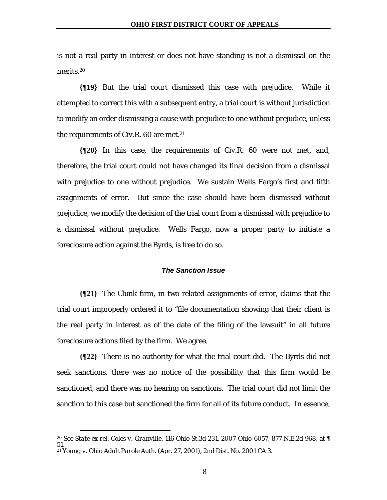is not a real party in interest or does not have standing is not a dismissal on the merits.20

**{¶19}** But the trial court dismissed this case with prejudice. While it attempted to correct this with a subsequent entry, a trial court is without jurisdiction to modify an order dismissing a cause with prejudice to one without prejudice, unless the requirements of Civ.R. 60 are met.<sup>21</sup>

**{¶20}** In this case, the requirements of Civ.R. 60 were not met, and, therefore, the trial court could not have changed its final decision from a dismissal with prejudice to one without prejudice. We sustain Wells Fargo's first and fifth assignments of error. But since the case should have been dismissed without prejudice, we modify the decision of the trial court from a dismissal with prejudice to a dismissal without prejudice. Wells Fargo, now a proper party to initiate a foreclosure action against the Byrds, is free to do so.

### *The Sanction Issue*

**{¶21}** The Clunk firm, in two related assignments of error, claims that the trial court improperly ordered it to "file documentation showing that their client is the real party in interest as of the date of the filing of the lawsuit" in all future foreclosure actions filed by the firm. We agree.

**{¶22}** There is no authority for what the trial court did. The Byrds did not seek sanctions, there was no notice of the possibility that this firm would be sanctioned, and there was no hearing on sanctions. The trial court did not limit the sanction to this case but sanctioned the firm for all of its future conduct. In essence,

<u>.</u>

<sup>20</sup> See *State ex rel. Coles v. Granville*, 116 Ohio St.3d 231, 2007-Ohio-6057, 877 N.E.2d 968, at ¶ 51.

<sup>21</sup> *Young v. Ohio Adult Parole Auth.* (Apr. 27, 2001), 2nd Dist. No. 2001 CA 3.